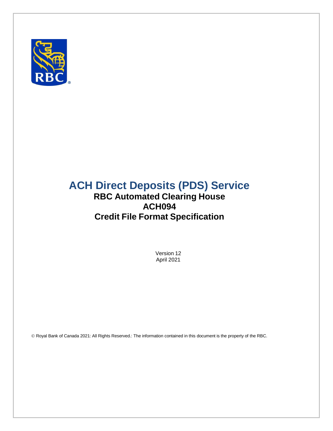

# **ACH Direct Deposits (PDS) Service**

## **RBC Automated Clearing House ACH094 Credit File Format Specification**

Version 12 April 2021

Royal Bank of Canada 2021: All Rights Reserved.: The information contained in this document is the property of the RBC.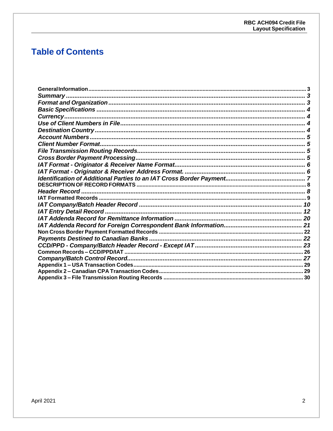## **Table of Contents**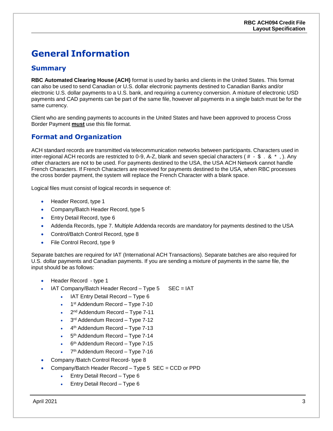## <span id="page-2-0"></span>**General Information**

#### <span id="page-2-1"></span>**Summary**

**RBC Automated Clearing House (ACH)** format is used by banks and clients in the United States. This format can also be used to send Canadian or U.S. dollar electronic payments destined to Canadian Banks and/or electronic U.S. dollar payments to a U.S. bank, and requiring a currency conversion. A mixture of electronic USD payments and CAD payments can be part of the same file, however all payments in a single batch must be for the same currency.

Client who are sending payments to accounts in the United States and have been approved to process Cross Border Payment **must** use this file format.

### <span id="page-2-2"></span>**Format and Organization**

ACH standard records are transmitted via telecommunication networks between participants. Characters used in inter-regional ACH records are restricted to 0-9, A-Z, blank and seven special characters ( $\#$  -  $\#$  . &  $*$ , ). Any other characters are not to be used. For payments destined to the USA, the USA ACH Network cannot handle French Characters. If French Characters are received for payments destined to the USA, when RBC processes the cross border payment, the system will replace the French Character with a blank space.

Logical files must consist of logical records in sequence of:

- Header Record, type 1
- Company/Batch Header Record, type 5
- Entry Detail Record, type 6
- Addenda Records, type 7. Multiple Addenda records are mandatory for payments destined to the USA
- Control/Batch Control Record, type 8
- File Control Record, type 9

Separate batches are required for IAT (International ACH Transactions). Separate batches are also required for U.S. dollar payments and Canadian payments. If you are sending a mixture of payments in the same file, the input should be as follows:

- Header Record type 1
- IAT Company/Batch Header Record Type 5 SEC = IAT
	- IAT Entry Detail Record Type 6
	- 1<sup>st</sup> Addendum Record Type 7-10
	- 2<sup>nd</sup> Addendum Record Type 7-11
	- 3<sup>rd</sup> Addendum Record Type 7-12
	- 4<sup>th</sup> Addendum Record Type 7-13
	- 5<sup>th</sup> Addendum Record Type 7-14
	- 6<sup>th</sup> Addendum Record Type 7-15
	- 7<sup>th</sup> Addendum Record Type 7-16
- Company /Batch Control Record- type 8
- Company/Batch Header Record Type 5 SEC = CCD or PPD
	- Entry Detail Record Type 6
	- Entry Detail Record Type 6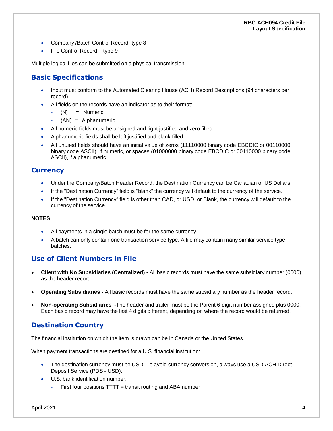- Company / Batch Control Record- type 8
- File Control Record type 9

Multiple logical files can be submitted on a physical transmission.

#### <span id="page-3-0"></span>**Basic Specifications**

- Input must conform to the Automated Clearing House (ACH) Record Descriptions (94 characters per record)
- All fields on the records have an indicator as to their format:
	- (N) = Numeric
	- $(AN) = Alphantumeric$
- All numeric fields must be unsigned and right justified and zero filled.
- Alphanumeric fields shall be left justified and blank filled.
- All unused fields should have an initial value of zeros (11110000 binary code EBCDIC or 00110000 binary code ASCII), if numeric, or spaces (01000000 binary code EBCDIC or 00110000 binary code ASCII), if alphanumeric.

#### <span id="page-3-1"></span>**Currency**

- Under the Company/Batch Header Record, the Destination Currency can be Canadian or US Dollars.
- If the "Destination Currency" field is "blank" the currency will default to the currency of the service.
- If the "Destination Currency" field is other than CAD, or USD, or Blank, the currency will default to the currency of the service.

#### **NOTES:**

- All payments in a single batch must be for the same currency.
- A batch can only contain one transaction service type. A file may contain many similar service type batches.

#### <span id="page-3-2"></span>**Use of Client Numbers in File**

- **Client with No Subsidiaries (Centralized) -** All basic records must have the same subsidiary number (0000) as the header record.
- **Operating Subsidiaries -** All basic records must have the same subsidiary number as the header record.
- **Non-operating Subsidiaries -**The header and trailer must be the Parent 6-digit number assigned plus 0000. Each basic record may have the last 4 digits different, depending on where the record would be returned.

#### <span id="page-3-3"></span>**Destination Country**

The financial institution on which the item is drawn can be in Canada or the United States.

When payment transactions are destined for a U.S. financial institution:

- The destination currency must be USD. To avoid currency conversion, always use a USD ACH Direct Deposit Service (PDS - USD).
- U.S. bank identification number:
	- First four positions  $TTT =$  transit routing and ABA number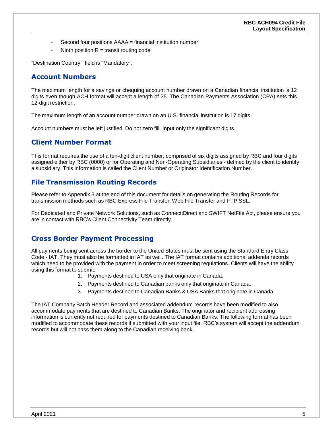- Second four positions AAAA = financial institution number
- Ninth position  $R =$  transit routing code

"Destination Country " field is "Mandatory".

#### <span id="page-4-0"></span>**Account Numbers**

The maximum length for a savings or chequing account number drawn on a Canadian financial institution is 12 digits even though ACH format will accept a length of 35. The Canadian Payments Association (CPA) sets this 12-digit restriction.

The maximum length of an account number drawn on an U.S. financial institution is 17 digits.

Account numbers must be left justified. Do not zero fill. Input only the significant digits.

#### <span id="page-4-1"></span>**Client Number Format**

This format requires the use of a ten-digit client number, comprised of six digits assigned by RBC and four digits assigned either by RBC (0000) or for Operating and Non-Operating Subsidiaries - defined by the client to identify a subsidiary. This information is called the Client Number or Originator Identification Number.

#### <span id="page-4-2"></span>**File Transmission Routing Records**

Please refer to Appendix 3 at the end of this document for details on generating the Routing Records for transmission methods such as RBC Express File Transfer, Web File Transfer and FTP SSL.

For Dedicated and Private Network Solutions, such as Connect:Direct and SWIFT NetFile Act, please ensure you are in contact with RBC's Client Connectivity Team directly.

#### <span id="page-4-3"></span>**Cross Border Payment Processing**

All payments being sent across the border to the United States must be sent using the Standard Entry Class Code - IAT. They must also be formatted in IAT as well. The IAT format contains additional addenda records which need to be provided with the payment in order to meet screening regulations. Clients will have the ability using this format to submit:

- 1. Payments destined to USA only that originate in Canada.
- 2. Payments destined to Canadian banks only that originate in Canada.
- 3. Payments destined to Canadian Banks & USA Banks that originate in Canada.

The IAT Company Batch Header Record and associated addendum records have been modified to also accommodate payments that are destined to Canadian Banks. The originator and recipient addressing information is currently not required for payments destined to Canadian Banks. The following format has been modified to accommodate these records if submitted with your input file. RBC's system will accept the addendum records but will not pass them along to the Canadian receiving bank.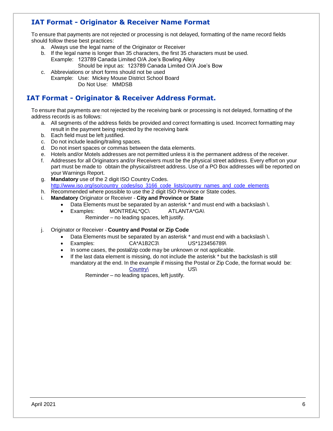### <span id="page-5-0"></span>**IAT Format - Originator & Receiver Name Format**

To ensure that payments are not rejected or processing is not delayed, formatting of the name record fields should follow these best practices:

- a. Always use the legal name of the Originator or Receiver
- b. If the legal name is longer than 35 characters, the first 35 characters must be used. Example: 123789 Canada Limited O/A Joe's Bowling Alley
	- Should be input as: 123789 Canada Limited O/A Joe's Bow
- c. Abbreviations or short forms should not be used Example: Use: Mickey Mouse District School Board Do Not Use: MMDSB

#### <span id="page-5-1"></span>**IAT Format - Originator & Receiver Address Format.**

To ensure that payments are not rejected by the receiving bank or processing is not delayed, formatting of the address records is as follows:

- a. All segments of the address fields be provided and correct formatting is used. Incorrect formatting may result in the payment being rejected by the receiving bank
- b. Each field must be left justified.
- c. Do not include leading/trailing spaces.
- d. Do not insert spaces or commas between the data elements.
- e. Hotels and/or Motels addresses are not permitted unless it is the permanent address of the receiver.
- f. Addresses for all Originators and/or Receivers must be the physical street address. Every effort on your part must be made to obtain the physical/street address. Use of a PO Box addresses will be reported on your Warnings Report.
- g. **Mandatory** use of the 2 digit ISO Country Codes. [http://www.iso.org/iso/country\\_codes/iso\\_3166\\_code\\_lists/country\\_names\\_and\\_code\\_elements](http://www.iso.org/iso/country_codes/iso_3166_code_lists/country_names_and_code_elements)
- h. Recommended where possible to use the 2 digit ISO Province or State codes.
- i. **Mandatory** Originator or Receiver **City and Province or State**
	- Data Elements must be separated by an asterisk \* and must end with a backslash \.
		- Examples: MONTREAL\*QC\ ATLANTA\*GA\
			- Reminder no leading spaces, left justify.
- j. Originator or Receiver **Country and Postal or Zip Code**
	- Data Elements must be separated by an asterisk \* and must end with a backslash \.
	- Examples: CA\*A1B2C3\ US\*123456789\
	- In some cases, the postal/zip code may be unknown or not applicable.
	- If the last data element is missing, do not include the asterisk \* but the backslash is still mandatory at the end. In the example if missing the Postal or Zip Code, the format would be: Country\ US\

Reminder – no leading spaces, left justify.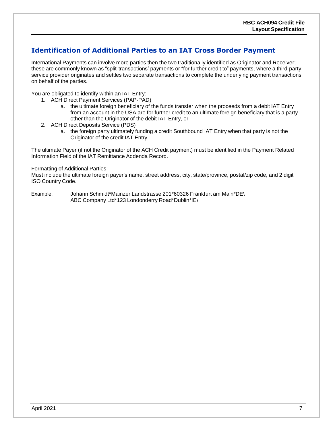### <span id="page-6-0"></span>**Identification of Additional Parties to an IAT Cross Border Payment**

International Payments can involve more parties then the two traditionally identified as Originator and Receiver; these are commonly known as "split-transactions' payments or "for further credit to" payments, where a third-party service provider originates and settles two separate transactions to complete the underlying payment transactions on behalf of the parties.

You are obligated to identify within an IAT Entry:

- 1. ACH Direct Payment Services (PAP-PAD)
	- a. the ultimate foreign beneficiary of the funds transfer when the proceeds from a debit IAT Entry from an account in the USA are for further credit to an ultimate foreign beneficiary that is a party other than the Originator of the debit IAT Entry, or
- 2. ACH Direct Deposits Service (PDS)
	- a. the foreign party ultimately funding a credit Southbound IAT Entry when that party is not the Originator of the credit IAT Entry.

The ultimate Payer (if not the Originator of the ACH Credit payment) must be identified in the Payment Related Information Field of the IAT Remittance Addenda Record.

#### Formatting of Additional Parties:

Must include the ultimate foreign payer's name, street address, city, state/province, postal/zip code, and 2 digit ISO Country Code.

Example: Johann Schmidt\*Mainzer Landstrasse 201\*60326 Frankfurt am Main\*DE\ ABC Company Ltd\*123 Londonderry Road\*Dublin\*IE\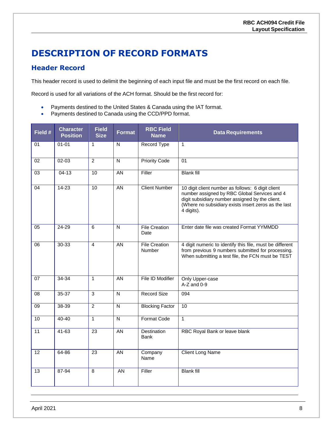## <span id="page-7-0"></span>**DESCRIPTION OF RECORD FORMATS**

#### <span id="page-7-1"></span>**Header Record**

This header record is used to delimit the beginning of each input file and must be the first record on each file.

Record is used for all variations of the ACH format. Should be the first record for:

- Payments destined to the United States & Canada using the IAT format.
- Payments destined to Canada using the CCD/PPD format.

| Field #         | <b>Character</b><br><b>Position</b> | <b>Field</b><br><b>Size</b> | <b>Format</b>           | <b>RBC Field</b><br><b>Name</b>       | <b>Data Requirements</b>                                                                                                                                                                                                   |
|-----------------|-------------------------------------|-----------------------------|-------------------------|---------------------------------------|----------------------------------------------------------------------------------------------------------------------------------------------------------------------------------------------------------------------------|
| 01              | $01 - 01$                           | $\mathbf{1}$                | N                       | <b>Record Type</b>                    | $\mathbf{1}$                                                                                                                                                                                                               |
| 02              | $02 - 03$                           | $\overline{2}$              | N                       | <b>Priority Code</b>                  | 01                                                                                                                                                                                                                         |
| 03              | $04 - 13$                           | $\overline{10}$             | <b>AN</b>               | Filler                                | <b>Blank fill</b>                                                                                                                                                                                                          |
| 04              | $14 - 23$                           | 10                          | $\overline{AN}$         | <b>Client Number</b>                  | 10 digit client number as follows: 6 digit client<br>number assigned by RBC Global Services and 4<br>digit subsidiary number assigned by the client.<br>(Where no subsidiary exists insert zeros as the last<br>4 digits). |
| 05              | 24-29                               | 6                           | N                       | <b>File Creation</b><br>Date          | Enter date file was created Format YYMMDD                                                                                                                                                                                  |
| 06              | $30 - 33$                           | $\overline{4}$              | <b>AN</b>               | <b>File Creation</b><br><b>Number</b> | 4 digit numeric to identify this file, must be different<br>from previous 9 numbers submitted for processing.<br>When submitting a test file, the FCN must be TEST                                                         |
| $\overline{07}$ | $34 - 34$                           | $\mathbf{1}$                | $\overline{AN}$         | File ID Modifier                      | Only Upper-case<br>$A-Z$ and $0-9$                                                                                                                                                                                         |
| $\overline{08}$ | $35 - 37$                           | $\overline{3}$              | N                       | <b>Record Size</b>                    | 094                                                                                                                                                                                                                        |
| 09              | $38 - 39$                           | $\overline{2}$              | $\overline{\mathsf{N}}$ | <b>Blocking Factor</b>                | 10                                                                                                                                                                                                                         |
| 10              | $40 - 40$                           | $\mathbf{1}$                | $\overline{\mathsf{N}}$ | <b>Format Code</b>                    | $\overline{1}$                                                                                                                                                                                                             |
| $\overline{11}$ | $41 - 63$                           | $\overline{23}$             | $\overline{AN}$         | <b>Destination</b><br><b>Bank</b>     | RBC Royal Bank or leave blank                                                                                                                                                                                              |
| 12              | 64-86                               | 23                          | $\overline{AN}$         | Company<br>Name                       | <b>Client Long Name</b>                                                                                                                                                                                                    |
| 13              | 87-94                               | 8                           | AN                      | Filler                                | <b>Blank fill</b>                                                                                                                                                                                                          |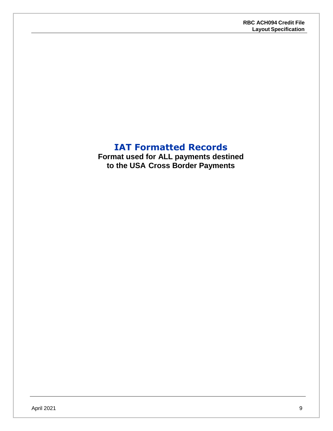## **IAT Formatted Records**

<span id="page-8-0"></span>**Format used for ALL payments destined to the USA Cross Border Payments**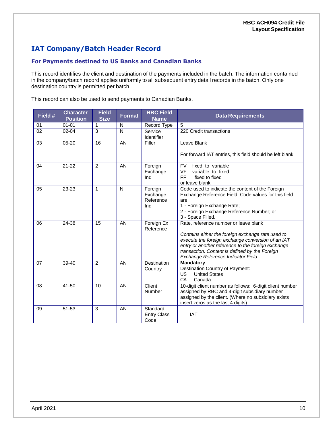### <span id="page-9-0"></span>**IAT Company/Batch Header Record**

#### **For Payments destined to US Banks and Canadian Banks**

This record identifies the client and destination of the payments included in the batch. The information contained in the company/batch record applies uniformly to all subsequent entry detail records in the batch. Only one destination country is permitted per batch.

This record can also be used to send payments to Canadian Banks.

| Field # | <b>Character</b><br><b>Position</b> | <b>Field</b><br><b>Size</b> | <b>Format</b> | <b>RBC Field</b><br><b>Name</b>         | <b>Data Requirements</b>                                                                                                                                                                                                                                                                       |
|---------|-------------------------------------|-----------------------------|---------------|-----------------------------------------|------------------------------------------------------------------------------------------------------------------------------------------------------------------------------------------------------------------------------------------------------------------------------------------------|
| 01      | $01 - 01$                           | 1                           | N             | <b>Record Type</b>                      | 5                                                                                                                                                                                                                                                                                              |
| 02      | $02 - 04$                           | 3                           | N             | Service<br>Identifier                   | 220 Credit transactions                                                                                                                                                                                                                                                                        |
| 03      | $05 - 20$                           | 16                          | AN            | Filler                                  | Leave Blank<br>For forward IAT entries, this field should be left blank.                                                                                                                                                                                                                       |
| 04      | $21 - 22$                           | $\overline{2}$              | AN            | Foreign<br>Exchange<br>Ind              | fixed to variable<br><b>FV</b><br><b>VF</b><br>variable to fixed<br>FF.<br>fixed to fixed<br>or leave blank                                                                                                                                                                                    |
| 05      | 23-23                               | 1                           | N             | Foreign<br>Exchange<br>Reference<br>Ind | Code used to indicate the content of the Foreign<br>Exchange Reference Field. Code values for this field<br>are:<br>1 - Foreign Exchange Rate;<br>2 - Foreign Exchange Reference Number; or<br>3 - Space Filled.                                                                               |
| 06      | 24-38                               | 15                          | AN            | Foreign Ex<br>Reference                 | Rate, reference number or leave blank<br>Contains either the foreign exchange rate used to<br>execute the foreign exchange conversion of an IAT<br>entry or another reference to the foreign exchange<br>transaction. Content is defined by the Foreign<br>Exchange Reference Indicator Field. |
| 07      | 39-40                               | 2                           | AN            | Destination<br>Country                  | <b>Mandatory</b><br>Destination Country of Payment:<br><b>United States</b><br>US<br>CA<br>Canada                                                                                                                                                                                              |
| 08      | $41 - 50$                           | 10                          | AN            | Client<br>Number                        | 10-digit client number as follows: 6-digit client number<br>assigned by RBC and 4-digit subsidiary number<br>assigned by the client. (Where no subsidiary exists<br>insert zeros as the last 4 digits).                                                                                        |
| 09      | $51 - 53$                           | 3                           | AN            | Standard<br><b>Entry Class</b><br>Code  | <b>IAT</b>                                                                                                                                                                                                                                                                                     |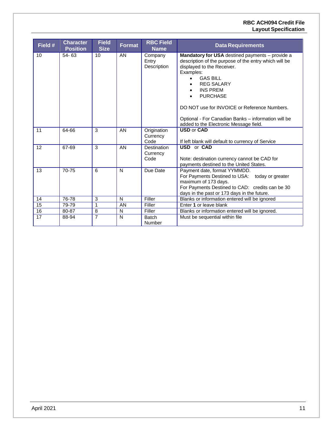#### **RBC ACH094 Credit File Layout Specification**

| Field # | <b>Character</b><br><b>Position</b> | <b>Field</b><br><b>Size</b> | <b>Format</b> | <b>RBC Field</b><br><b>Name</b> | <b>Data Requirements</b>                                                                                                                                                                                                                                                                                                                                                                        |
|---------|-------------------------------------|-----------------------------|---------------|---------------------------------|-------------------------------------------------------------------------------------------------------------------------------------------------------------------------------------------------------------------------------------------------------------------------------------------------------------------------------------------------------------------------------------------------|
| 10      | $54 - 63$                           | 10                          | AN            | Company<br>Entry<br>Description | Mandatory for USA destined payments - provide a<br>description of the purpose of the entry which will be<br>displayed to the Receiver.<br>Examples:<br><b>GAS BILL</b><br>$\bullet$<br><b>REG SALARY</b><br><b>INS PREM</b><br><b>PURCHASE</b><br>DO NOT use for INVOICE or Reference Numbers.<br>Optional - For Canadian Banks - information will be<br>added to the Electronic Message field. |
| 11      | 64-66                               | 3                           | AN            | Origination<br>Currency<br>Code | <b>USD or CAD</b><br>If left blank will default to currency of Service                                                                                                                                                                                                                                                                                                                          |
| 12      | 67-69                               | 3                           | AN            | Destination<br>Currency<br>Code | <b>USD</b> or <b>CAD</b><br>Note: destination currency cannot be CAD for<br>payments destined to the United States.                                                                                                                                                                                                                                                                             |
| 13      | 70-75                               | 6                           | N             | Due Date                        | Payment date, format YYMMDD.<br>For Payments Destined to USA: today or greater<br>maximum of 173 days.<br>For Payments Destined to CAD: credits can be 30<br>days in the past or 173 days in the future.                                                                                                                                                                                        |
| 14      | 76-78                               | 3                           | N             | Filler                          | Blanks or information entered will be ignored                                                                                                                                                                                                                                                                                                                                                   |
| 15      | 79-79                               | 1                           | AN            | Filler                          | Enter 1 or leave blank                                                                                                                                                                                                                                                                                                                                                                          |
| 16      | 80-87                               | 8                           | ${\sf N}$     | Filler                          | Blanks or information entered will be ignored.                                                                                                                                                                                                                                                                                                                                                  |
| 17      | 88-94                               | 7                           | N             | Batch<br>Number                 | Must be sequential within file                                                                                                                                                                                                                                                                                                                                                                  |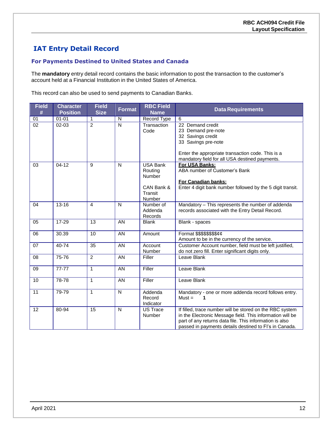### <span id="page-11-0"></span>**IAT Entry Detail Record**

#### **For Payments Destined to United States and Canada**

The **mandatory** entry detail record contains the basic information to post the transaction to the customer's account held at a Financial Institution in the United States of America.

This record can also be used to send payments to Canadian Banks.

| <b>Field</b><br># | <b>Character</b><br><b>Position</b> | <b>Field</b><br><b>Size</b> | <b>Format</b> | <b>RBC Field</b><br><b>Name</b>                                         | <b>Data Requirements</b>                                                                                                                                                                                                                   |
|-------------------|-------------------------------------|-----------------------------|---------------|-------------------------------------------------------------------------|--------------------------------------------------------------------------------------------------------------------------------------------------------------------------------------------------------------------------------------------|
| 01                | $01 - 01$                           | 1                           | N             | Record Type                                                             | 6                                                                                                                                                                                                                                          |
| $\overline{02}$   | $02 - 03$                           | $\overline{2}$              | N             | Transaction<br>Code                                                     | 22 Demand credit<br>23 Demand pre-note<br>32 Savings credit<br>33 Savings pre-note<br>Enter the appropriate transaction code. This is a<br>mandatory field for all USA destined payments.                                                  |
| 03                | $04 - 12$                           | 9                           | N             | <b>USA Bank</b><br>Routing<br>Number<br>CAN Bank &<br>Transit<br>Number | For USA Banks:<br>ABA number of Customer's Bank<br>For Canadian banks:<br>Enter 4 digit bank number followed by the 5 digit transit.                                                                                                       |
| 04                | $13 - 16$                           | 4                           | N             | Number of<br>Addenda<br>Records                                         | Mandatory - This represents the number of addenda<br>records associated with the Entry Detail Record.                                                                                                                                      |
| 05                | 17-29                               | 13                          | AN            | <b>Blank</b>                                                            | Blank - spaces                                                                                                                                                                                                                             |
| 06                | 30.39                               | 10                          | AN            | Amount                                                                  | Format \$\$\$\$\$\$\$\$¢¢<br>Amount to be in the currency of the service.                                                                                                                                                                  |
| 07                | $40 - 74$                           | 35                          | AN            | Account<br>Number                                                       | Customer Account number, field must be left justified,<br>do not zero fill. Enter significant digits only.                                                                                                                                 |
| 08                | 75-76                               | $\overline{2}$              | AN            | Filler                                                                  | Leave Blank                                                                                                                                                                                                                                |
| 09                | $77 - 77$                           | $\mathbf{1}$                | <b>AN</b>     | Filler                                                                  | Leave Blank                                                                                                                                                                                                                                |
| 10                | 78-78                               | $\mathbf{1}$                | AN            | Filler                                                                  | Leave Blank                                                                                                                                                                                                                                |
| 11                | 79-79                               | 1                           | N             | Addenda<br>Record<br>Indicator                                          | Mandatory - one or more addenda record follows entry.<br>$Must =$                                                                                                                                                                          |
| 12                | 80-94                               | 15                          | N             | <b>US Trace</b><br>Number                                               | If filled, trace number will be stored on the RBC system<br>in the Electronic Message field. This information will be<br>part of any returns data file. This information is also<br>passed in payments details destined to FI's in Canada. |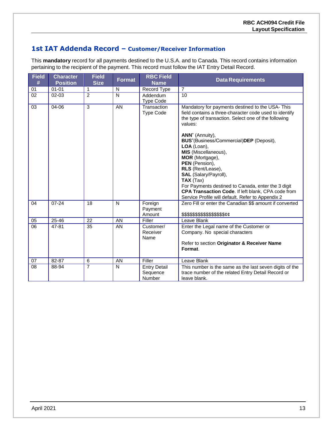#### **1st IAT Addenda Record – Customer/Receiver Information**

This **mandatory** record for all payments destined to the U.S.A. and to Canada. This record contains information pertaining to the recipient of the payment. This record must follow the IAT Entry Detail Record.

| <b>Field</b><br># | <b>Character</b><br><b>Position</b> | <b>Field</b><br><b>Size</b> | <b>Format</b> | <b>RBC Field</b><br><b>Name</b>           | <b>Data Requirements</b>                                                                                                                                                                                                                                                                                                                                                                                                                                                                                                                                       |
|-------------------|-------------------------------------|-----------------------------|---------------|-------------------------------------------|----------------------------------------------------------------------------------------------------------------------------------------------------------------------------------------------------------------------------------------------------------------------------------------------------------------------------------------------------------------------------------------------------------------------------------------------------------------------------------------------------------------------------------------------------------------|
| 01                | $01 - 01$                           | 1                           | N             | Record Type                               | $\overline{7}$                                                                                                                                                                                                                                                                                                                                                                                                                                                                                                                                                 |
| 02                | $02 - 03$                           | 2                           | N             | Addendum<br><b>Type Code</b>              | 10                                                                                                                                                                                                                                                                                                                                                                                                                                                                                                                                                             |
| $\overline{03}$   | 04-06                               | $\overline{3}$              | AN            | Transaction<br>Type Code                  | Mandatory for payments destined to the USA- This<br>field contains a three-character code used to identify<br>the type of transaction. Select one of the following<br>values:<br>ANN" (Annuity),<br>BUS"(Business/Commercial)DEP (Deposit),<br>LOA (Loan),<br>MIS (Miscellaneous),<br>MOR (Mortgage),<br>PEN (Pension),<br>RLS (Rent/Lease),<br>SAL (Salary/Payroll),<br>$\mathsf{TAX}$ (Tax)<br>For Payments destined to Canada, enter the 3 digit<br>CPA Transaction Code. If left blank, CPA code from<br>Service Profile will default. Refer to Appendix 2 |
| 04                | $07 - 24$                           | 18                          | N             | Foreign<br>Payment<br>Amount              | Zero Fill or enter the Canadian \$\$ amount if converted<br>\$\$\$\$\$\$\$\$\$\$\$\$\$\$\$\$&                                                                                                                                                                                                                                                                                                                                                                                                                                                                  |
| 05                | $25 - 46$                           | 22                          | AN            | Filler                                    | Leave Blank                                                                                                                                                                                                                                                                                                                                                                                                                                                                                                                                                    |
| $\overline{06}$   | 47-81                               | 35                          | AN            | Customer/<br>Receiver<br>Name             | Enter the Legal name of the Customer or<br>Company. No special characters<br>Refer to section Originator & Receiver Name<br>Format.                                                                                                                                                                                                                                                                                                                                                                                                                            |
| 07                | 82-87                               | 6                           | AN            | Filler                                    | Leave Blank                                                                                                                                                                                                                                                                                                                                                                                                                                                                                                                                                    |
| 08                | 88-94                               | $\overline{7}$              | N             | <b>Entry Detail</b><br>Sequence<br>Number | This number is the same as the last seven digits of the<br>trace number of the related Entry Detail Record or<br>leave blank.                                                                                                                                                                                                                                                                                                                                                                                                                                  |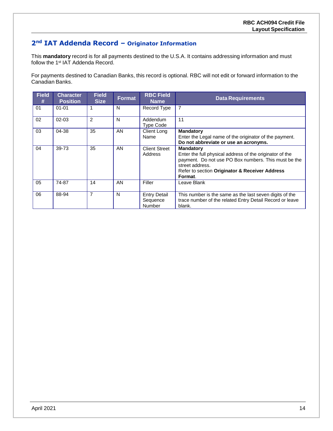### **2nd IAT Addenda Record – Originator Information**

This **mandatory** record is for all payments destined to the U.S.A. It contains addressing information and must follow the 1<sup>st</sup> IAT Addenda Record.

For payments destined to Canadian Banks, this record is optional. RBC will not edit or forward information to the Canadian Banks.

| <b>Field</b><br># | <b>Character</b><br><b>Position</b> | <b>Field</b><br><b>Size</b> | <b>Format</b> | <b>RBC Field</b><br><b>Name</b>                  | <b>Data Requirements</b>                                                                                                                                                                                             |
|-------------------|-------------------------------------|-----------------------------|---------------|--------------------------------------------------|----------------------------------------------------------------------------------------------------------------------------------------------------------------------------------------------------------------------|
| 01                | $01 - 01$                           |                             | N             | Record Type                                      | $\overline{7}$                                                                                                                                                                                                       |
| 02                | $02 - 03$                           | $\overline{2}$              | N             | Addendum<br><b>Type Code</b>                     | 11                                                                                                                                                                                                                   |
| 03                | 04-38                               | 35                          | AN            | <b>Client Long</b><br>Name                       | <b>Mandatory</b><br>Enter the Legal name of the originator of the payment.<br>Do not abbreviate or use an acronyms.                                                                                                  |
| 04                | 39-73                               | 35                          | AN.           | <b>Client Street</b><br>Address                  | <b>Mandatory</b><br>Enter the full physical address of the originator of the<br>payment. Do not use PO Box numbers. This must be the<br>street address.<br>Refer to section Originator & Receiver Address<br>Format. |
| 05                | 74-87                               | 14                          | AN            | Filler                                           | Leave Blank                                                                                                                                                                                                          |
| 06                | 88-94                               | 7                           | N             | <b>Entry Detail</b><br>Sequence<br><b>Number</b> | This number is the same as the last seven digits of the<br>trace number of the related Entry Detail Record or leave<br>blank.                                                                                        |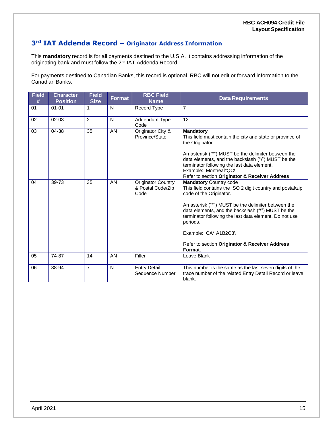#### **3rd IAT Addenda Record – Originator Address Information**

This **mandatory** record is for all payments destined to the U.S.A. It contains addressing information of the originating bank and must follow the 2<sup>nd</sup> IAT Addenda Record.

For payments destined to Canadian Banks, this record is optional. RBC will not edit or forward information to the Canadian Banks.

| <b>Field</b><br># | <b>Character</b><br><b>Position</b> | <b>Field</b><br><b>Size</b> | <b>Format</b> | <b>RBC Field</b><br><b>Name</b>                        | <b>Data Requirements</b>                                                                                                                                                                                                                                                                                                                                                                       |
|-------------------|-------------------------------------|-----------------------------|---------------|--------------------------------------------------------|------------------------------------------------------------------------------------------------------------------------------------------------------------------------------------------------------------------------------------------------------------------------------------------------------------------------------------------------------------------------------------------------|
| 01                | $01 - 01$                           | 1                           | N             | Record Type                                            | $\overline{7}$                                                                                                                                                                                                                                                                                                                                                                                 |
| 02                | $02 - 03$                           | $\overline{2}$              | N             | Addendum Type<br>Code                                  | 12                                                                                                                                                                                                                                                                                                                                                                                             |
| 03                | 04-38                               | 35                          | AN            | Originator City &<br>Province/State                    | <b>Mandatory</b><br>This field must contain the city and state or province of<br>the Originator.<br>An asterisk ("*") MUST be the delimiter between the<br>data elements, and the backslash ("\") MUST be the<br>terminator following the last data element.<br>Example: Montreal*QC\<br>Refer to section Originator & Receiver Address                                                        |
| 04                | 39-73                               | 35                          | AN            | <b>Originator Country</b><br>& Postal Code/Zip<br>Code | <b>Mandatory Country code</b><br>This field contains the ISO 2 digit country and postal/zip<br>code of the Originator.<br>An asterisk ("*") MUST be the delimiter between the<br>data elements, and the backslash ("\") MUST be the<br>terminator following the last data element. Do not use<br>periods.<br>Example: CA* A1B2C3\<br>Refer to section Originator & Receiver Address<br>Format. |
| 05                | 74-87                               | 14                          | AN            | Filler                                                 | Leave Blank                                                                                                                                                                                                                                                                                                                                                                                    |
| 06                | 88-94                               | $\overline{7}$              | N             | <b>Entry Detail</b><br>Sequence Number                 | This number is the same as the last seven digits of the<br>trace number of the related Entry Detail Record or leave<br>blank.                                                                                                                                                                                                                                                                  |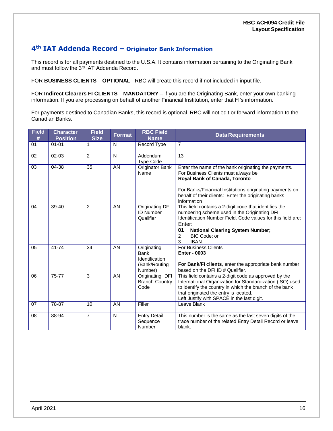#### **4th IAT Addenda Record – Originator Bank Information**

This record is for all payments destined to the U.S.A. It contains information pertaining to the Originating Bank and must follow the 3<sup>rd</sup> IAT Addenda Record.

FOR **BUSINESS CLIENTS** – **OPTIONAL** - RBC will create this record if not included in input file.

FOR **Indirect Clearers FI CLIENTS** – **MANDATORY –** if you are the Originating Bank, enter your own banking information. If you are processing on behalf of another Financial Institution, enter that FI's information.

For payments destined to Canadian Banks, this record is optional. RBC will not edit or forward information to the Canadian Banks.

| <b>Field</b><br># | <b>Character</b><br><b>Position</b> | <b>Field</b><br><b>Size</b> | <b>Format</b> | <b>RBC Field</b><br><b>Name</b>                                          | <b>Data Requirements</b>                                                                                                                                                                                                                                                   |
|-------------------|-------------------------------------|-----------------------------|---------------|--------------------------------------------------------------------------|----------------------------------------------------------------------------------------------------------------------------------------------------------------------------------------------------------------------------------------------------------------------------|
| 01                | $01 - 01$                           | 1                           | N             | Record Type                                                              | $\overline{7}$                                                                                                                                                                                                                                                             |
| 02                | $02 - 03$                           | $\overline{2}$              | N             | Addendum<br><b>Type Code</b>                                             | 13                                                                                                                                                                                                                                                                         |
| 03                | 04-38                               | 35                          | AN            | Originator Bank<br>Name                                                  | Enter the name of the bank originating the payments.<br>For Business Clients must always be<br>Royal Bank of Canada, Toronto<br>For Banks/Financial Institutions originating payments on<br>behalf of their clients: Enter the originating banks<br>information            |
| 04                | 39-40                               | $\overline{2}$              | AN            | Originating DFI<br><b>ID Number</b><br>Qualifier                         | This field contains a 2-digit code that identifies the<br>numbering scheme used in the Originating DFI<br>Identification Number Field. Code values for this field are:<br>Enter:<br>01<br><b>National Clearing System Number;</b><br>BIC Code; or<br>2<br>3<br><b>IBAN</b> |
| 05                | $41 - 74$                           | 34                          | AN            | Originating<br><b>Bank</b><br>Identification<br>(Bank/Routing<br>Number) | <b>For Business Clients</b><br><b>Enter - 0003</b><br>For Bank/FI clients, enter the appropriate bank number<br>based on the DFI ID # Qualifier.                                                                                                                           |
| 06                | 75-77                               | 3                           | AN            | Originating DFI<br><b>Branch Country</b><br>Code                         | This field contains a 2-digit code as approved by the<br>International Organization for Standardization (ISO) used<br>to identify the country in which the branch of the bank<br>that originated the entry is located.<br>Left Justify with SPACE in the last digit.       |
| 07                | 78-87                               | 10                          | AN            | Filler                                                                   | Leave Blank                                                                                                                                                                                                                                                                |
| 08                | 88-94                               | $\overline{7}$              | N             | <b>Entry Detail</b><br>Sequence<br>Number                                | This number is the same as the last seven digits of the<br>trace number of the related Entry Detail Record or leave<br>blank.                                                                                                                                              |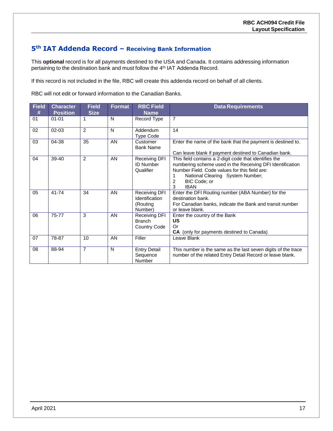#### **5th IAT Addenda Record – Receiving Bank Information**

This **optional** record is for all payments destined to the USA and Canada. It contains addressing information pertaining to the destination bank and must follow the 4<sup>th</sup> IAT Addenda Record.

If this record is not included in the file, RBC will create this addenda record on behalf of all clients.

RBC will not edit or forward information to the Canadian Banks.

| <b>Field</b><br># | <b>Character</b><br><b>Position</b> | <b>Field</b><br><b>Size</b> | Format | <b>RBC Field</b><br><b>Name</b>                        | <b>Data Requirements</b>                                                                                                                                                                                                                          |
|-------------------|-------------------------------------|-----------------------------|--------|--------------------------------------------------------|---------------------------------------------------------------------------------------------------------------------------------------------------------------------------------------------------------------------------------------------------|
| 01                | $01 - 01$                           | 1                           | N      | Record Type                                            | $\overline{7}$                                                                                                                                                                                                                                    |
| 02                | $02 - 03$                           | 2                           | N      | Addendum<br><b>Type Code</b>                           | 14                                                                                                                                                                                                                                                |
| 03                | 04-38                               | 35                          | AN     | Customer<br><b>Bank Name</b>                           | Enter the name of the bank that the payment is destined to.<br>Can leave blank if payment destined to Canadian bank.                                                                                                                              |
| 04                | 39-40                               | $\mathfrak{p}$              | AN     | Receiving DFI<br><b>ID Number</b><br>Qualifier         | This field contains a 2-digit code that identifies the<br>numbering scheme used in the Receiving DFI Identification<br>Number Field. Code values for this field are:<br>National Clearing System Number;<br>BIC Code; or<br>2<br>3<br><b>IBAN</b> |
| 05                | 41-74                               | 34                          | AN     | Receiving DFI<br>Identification<br>(Routing<br>Number) | Enter the DFI Routing number (ABA Number) for the<br>destination bank.<br>For Canadian banks, indicate the Bank and transit number<br>or leave blank.                                                                                             |
| 06                | 75-77                               | 3                           | AN     | Receiving DFI<br><b>Branch</b><br>Country Code         | Enter the country of the Bank<br>US<br>Or<br>CA (only for payments destined to Canada)                                                                                                                                                            |
| 07                | 78-87                               | 10                          | AN     | Filler                                                 | Leave Blank                                                                                                                                                                                                                                       |
| 08                | 88-94                               | $\overline{7}$              | N      | <b>Entry Detail</b><br>Sequence<br><b>Number</b>       | This number is the same as the last seven digits of the trace<br>number of the related Entry Detail Record or leave blank.                                                                                                                        |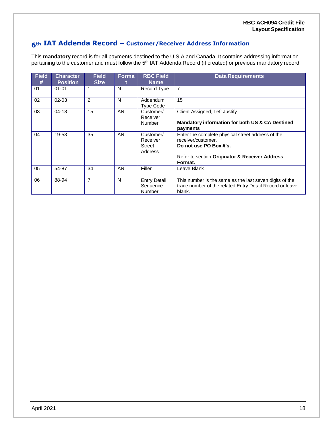#### **6th IAT Addenda Record – Customer/Receiver Address Information**

This **mandatory** record is for all payments destined to the U.S.A and Canada. It contains addressing information pertaining to the customer and must follow the 5<sup>th</sup> IAT Addenda Record (if created) or previous mandatory record.

| <b>Field</b><br># | <b>Character</b><br><b>Position</b> | <b>Field</b><br><b>Size</b> | Forma | <b>RBC Field</b><br><b>Name</b>                   | <b>Data Requirements</b>                                                                                                                                       |
|-------------------|-------------------------------------|-----------------------------|-------|---------------------------------------------------|----------------------------------------------------------------------------------------------------------------------------------------------------------------|
| 01                | $01 - 01$                           |                             | N     | Record Type                                       | 7                                                                                                                                                              |
| 02                | $02 - 03$                           | 2                           | N     | Addendum<br>Type Code                             | 15                                                                                                                                                             |
| 03                | $04 - 18$                           | 15                          | AN    | Customer/<br>Receiver<br><b>Number</b>            | Client Assigned, Left Justify<br>Mandatory information for both US & CA Destined<br>payments                                                                   |
| 04                | 19-53                               | 35                          | AN    | Customer/<br>Receiver<br><b>Street</b><br>Address | Enter the complete physical street address of the<br>receiver/customer.<br>Do not use PO Box #'s.<br>Refer to section Originator & Receiver Address<br>Format. |
| 05                | 54-87                               | 34                          | AN    | Filler                                            | Leave Blank                                                                                                                                                    |
| 06                | 88-94                               | $\overline{7}$              | N     | <b>Entry Detail</b><br>Sequence<br><b>Number</b>  | This number is the same as the last seven digits of the<br>trace number of the related Entry Detail Record or leave<br>blank.                                  |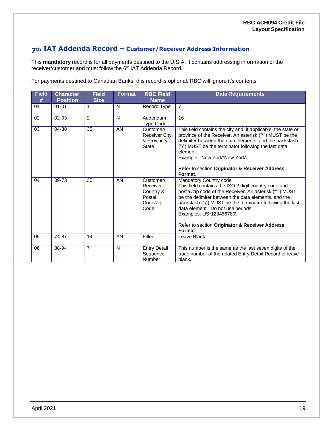#### **7th IAT Addenda Record – Customer/Receiver Address Information**

This **mandatory** record is for all payments destined to the U.S.A. It contains addressing information of the receiver/customer and must follow the 6<sup>th</sup> IAT Addenda Record.

For payments destined to Canadian Banks, this record is optional. RBC will ignore it's contents

| <b>Field</b><br># | <b>Character</b><br><b>Position</b> | <b>Field</b><br><b>Size</b> | Format       | <b>RBC Field</b><br><b>Name</b>                                  | <b>Data Requirements</b>                                                                                                                                                                                                                                                                                                                                                                  |
|-------------------|-------------------------------------|-----------------------------|--------------|------------------------------------------------------------------|-------------------------------------------------------------------------------------------------------------------------------------------------------------------------------------------------------------------------------------------------------------------------------------------------------------------------------------------------------------------------------------------|
| 01                | $01 - 01$                           | 1                           | N            | Record Type                                                      | $\overline{7}$                                                                                                                                                                                                                                                                                                                                                                            |
| 02                | 02-03                               | $\overline{2}$              | $\mathsf{N}$ | Addendum<br><b>Type Code</b>                                     | 16                                                                                                                                                                                                                                                                                                                                                                                        |
| 03                | 04-38                               | 35                          | AN           | Customer/<br><b>Receiver City</b><br>& Province/<br><b>State</b> | This field contains the city and, if applicable, the state or<br>province of the Receiver. An asterisk ("*") MUST be the<br>delimiter between the data elements, and the backslash<br>("\") MUST be the terminator following the last data<br>element.<br>Example: New York*New York\<br>Refer to section Originator & Receiver Address<br>Format.                                        |
| 04                | 39-73                               | 35                          | AN           | Customer/<br>Receiver<br>Country &<br>Postal<br>Code/Zip<br>Code | Mandatory Country code<br>This field contains the ISO 2 digit country code and<br>postal/zip code of the Receiver. An asterisk ("*") MUST<br>be the delimiter between the data elements, and the<br>backslash ("\") MUST be the terminator following the last<br>data element. Do not use periods<br>Examples: US*123456789\<br>Refer to section Originator & Receiver Address<br>Format. |
| 05                | 74-87                               | 14                          | AN           | Filler                                                           | Leave Blank                                                                                                                                                                                                                                                                                                                                                                               |
| 06                | 88-94                               | $\overline{7}$              | N            | <b>Entry Detail</b><br>Sequence<br>Number                        | This number is the same as the last seven digits of the<br>trace number of the related Entry Detail Record or leave<br>blank.                                                                                                                                                                                                                                                             |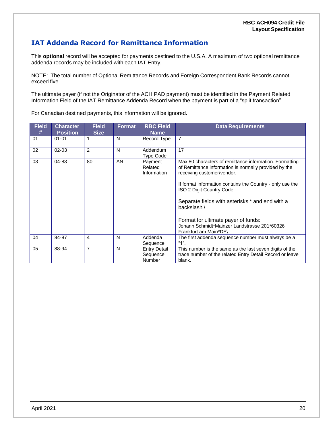### <span id="page-19-0"></span>**IAT Addenda Record for Remittance Information**

This **optional** record will be accepted for payments destined to the U.S.A. A maximum of two optional remittance addenda records may be included with each IAT Entry.

NOTE: The total number of Optional Remittance Records and Foreign Correspondent Bank Records cannot exceed five.

The ultimate payer (if not the Originator of the ACH PAD payment) must be identified in the Payment Related Information Field of the IAT Remittance Addenda Record when the payment is part of a "split transaction".

For Canadian destined payments, this information will be ignored.

| <b>Field</b><br># | <b>Character</b> | <b>Field</b>   | Format | <b>RBC Field</b>                          | <b>Data Requirements</b>                                                                                                                                                                                                                                                                                                                                                                          |
|-------------------|------------------|----------------|--------|-------------------------------------------|---------------------------------------------------------------------------------------------------------------------------------------------------------------------------------------------------------------------------------------------------------------------------------------------------------------------------------------------------------------------------------------------------|
|                   | <b>Position</b>  | <b>Size</b>    |        | <b>Name</b>                               |                                                                                                                                                                                                                                                                                                                                                                                                   |
| 01                | $01 - 01$        |                | N      | Record Type                               | $\overline{7}$                                                                                                                                                                                                                                                                                                                                                                                    |
| 02                | $02 - 03$        | 2              | N      | Addendum<br><b>Type Code</b>              | 17                                                                                                                                                                                                                                                                                                                                                                                                |
| 03                | $04 - 83$        | 80             | AN     | Payment<br>Related<br>Information         | Max 80 characters of remittance information. Formatting<br>of Remittance information is normally provided by the<br>receiving customer/vendor.<br>If format information contains the Country - only use the<br>ISO 2 Digit Country Code.<br>Separate fields with asterisks * and end with a<br>backslash \<br>Format for ultimate payer of funds:<br>Johann Schmidt*Mainzer Landstrasse 201*60326 |
| 04                | 84-87            | 4              | N      | Addenda<br>Sequence                       | Frankfurt am Main*DE\<br>The first addenda sequence number must always be a<br>$"1"$ .                                                                                                                                                                                                                                                                                                            |
| 05                | 88-94            | $\overline{7}$ | N      | <b>Entry Detail</b><br>Sequence<br>Number | This number is the same as the last seven digits of the<br>trace number of the related Entry Detail Record or leave<br>blank.                                                                                                                                                                                                                                                                     |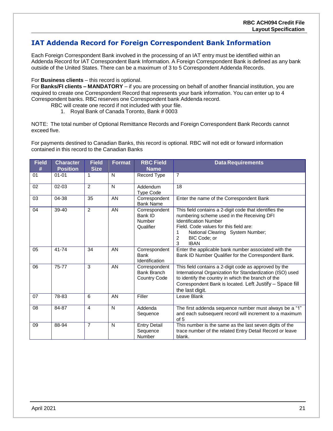#### <span id="page-20-0"></span>**IAT Addenda Record for Foreign Correspondent Bank Information**

Each Foreign Correspondent Bank involved in the processing of an IAT entry must be identified within an Addenda Record for IAT Correspondent Bank Information. A Foreign Correspondent Bank is defined as any bank outside of the United States. There can be a maximum of 3 to 5 Correspondent Addenda Records.

#### For **Business clients** – this record is optional.

For **Banks/FI clients – MANDATORY** – if you are processing on behalf of another financial institution, you are required to create one Correspondent Record that represents your bank information. You can enter up to 4 Correspondent banks. RBC reserves one Correspondent bank Addenda record.

- RBC will create one record if not included with your file.
	- 1. Royal Bank of Canada Toronto, Bank # 0003

NOTE: The total number of Optional Remittance Records and Foreign Correspondent Bank Records cannot exceed five.

For payments destined to Canadian Banks, this record is optional. RBC will not edit or forward information contained in this record to the Canadian Banks

| <b>Field</b><br># | <b>Character</b><br><b>Position</b> | <b>Field</b><br><b>Size</b> | <b>Format</b> | <b>RBC Field</b><br><b>Name</b>                                               | <b>Data Requirements</b>                                                                                                                                                                                                                                         |
|-------------------|-------------------------------------|-----------------------------|---------------|-------------------------------------------------------------------------------|------------------------------------------------------------------------------------------------------------------------------------------------------------------------------------------------------------------------------------------------------------------|
| 01                | $01 - 01$                           | 1                           | $\mathsf{N}$  | Record Type                                                                   | $\overline{7}$                                                                                                                                                                                                                                                   |
| 02                | $02 - 03$                           | 2                           | N             | Addendum<br><b>Type Code</b>                                                  | 18                                                                                                                                                                                                                                                               |
| 03                | 04-38                               | 35                          | AN            | Correspondent<br>Enter the name of the Correspondent Bank<br><b>Bank Name</b> |                                                                                                                                                                                                                                                                  |
| 04                | 39-40                               | $\overline{2}$              | AN            | Correspondent<br>Bank ID<br><b>Number</b><br>Qualifier                        | This field contains a 2-digit code that identifies the<br>numbering scheme used in the Receiving DFI<br><b>Identification Number</b><br>Field. Code values for this field are:<br>National Clearing System Number;<br>1<br>BIC Code; or<br>2<br>3<br><b>IBAN</b> |
| 05                | 41-74                               | 34                          | AN            | Correspondent<br>Bank<br>Identification                                       | Enter the applicable bank number associated with the<br>Bank ID Number Qualifier for the Correspondent Bank.                                                                                                                                                     |
| 06                | 75-77                               | 3                           | AN            | Correspondent<br><b>Bank Branch</b><br><b>Country Code</b>                    | This field contains a 2-digit code as approved by the<br>International Organization for Standardization (ISO) used<br>to identify the country in which the branch of the<br>Correspondent Bank is located. Left Justify - Space fill<br>the last digit.          |
| 07                | 78-83                               | 6                           | AN            | Filler                                                                        | Leave Blank                                                                                                                                                                                                                                                      |
| 08                | 84-87                               | $\overline{4}$              | N             | Addenda<br>Sequence                                                           | The first addenda sequence number must always be a "1"<br>and each subsequent record will increment to a maximum<br>of 5                                                                                                                                         |
| 09                | 88-94                               | $\overline{7}$              | $\mathsf{N}$  | <b>Entry Detail</b><br>Sequence<br>Number                                     | This number is the same as the last seven digits of the<br>trace number of the related Entry Detail Record or leave<br>blank.                                                                                                                                    |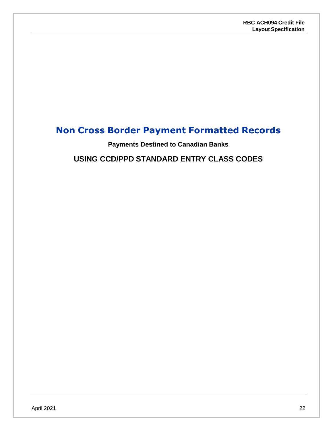## <span id="page-21-1"></span><span id="page-21-0"></span>**Non Cross Border Payment Formatted Records**

**Payments Destined to Canadian Banks**

**USING CCD/PPD STANDARD ENTRY CLASS CODES**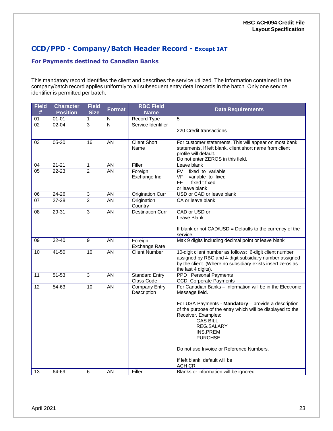### <span id="page-22-0"></span>**CCD/PPD - Company/Batch Header Record - Except IAT**

#### **For Payments destined to Canadian Banks**

This mandatory record identifies the client and describes the service utilized. The information contained in the company/batch record applies uniformly to all subsequent entry detail records in the batch. Only one service identifier is permitted per batch.

| $01 - 01$<br><b>Record Type</b><br>$\overline{5}$<br>01<br>N<br>1<br>$\overline{3}$<br>$\overline{\mathsf{N}}$<br>Service Identifier<br>02<br>$02 - 04$<br>220 Credit transactions<br>$05 - 20$<br>$\overline{16}$<br>AN<br><b>Client Short</b><br>03<br>Name<br>profile will default. | <b>Data Requirements</b>                                                                                                                                                         | <b>RBC Field</b><br><b>Name</b> |  | <b>Field</b><br><b>Size</b> | <b>Character</b><br><b>Position</b> | <b>Field</b><br># |
|----------------------------------------------------------------------------------------------------------------------------------------------------------------------------------------------------------------------------------------------------------------------------------------|----------------------------------------------------------------------------------------------------------------------------------------------------------------------------------|---------------------------------|--|-----------------------------|-------------------------------------|-------------------|
|                                                                                                                                                                                                                                                                                        |                                                                                                                                                                                  |                                 |  |                             |                                     |                   |
|                                                                                                                                                                                                                                                                                        |                                                                                                                                                                                  |                                 |  |                             |                                     |                   |
|                                                                                                                                                                                                                                                                                        | For customer statements. This will appear on most bank<br>statements. If left blank, client short name from client<br>Do not enter ZEROS in this field.                          |                                 |  |                             |                                     |                   |
| Filler<br>$21 - 21$<br><b>AN</b><br>04<br>1<br>Leave blank                                                                                                                                                                                                                             |                                                                                                                                                                                  |                                 |  |                             |                                     |                   |
| $\overline{2}$<br>$\overline{05}$<br>$22 - 23$<br>$\overline{AN}$<br>Foreign<br>FV fixed to variable<br><b>VF</b><br>variable to fixed<br>Exchange Ind<br><b>FF</b><br>fixed t fixed<br>or leave blank                                                                                 |                                                                                                                                                                                  |                                 |  |                             |                                     |                   |
| USD or CAD or leave blank<br>06<br>$24 - 26$<br>$\overline{3}$<br>AN<br><b>Origination Curr</b>                                                                                                                                                                                        |                                                                                                                                                                                  |                                 |  |                             |                                     |                   |
| $\overline{2}$<br><b>AN</b><br>CA or leave blank<br>07<br>27-28<br>Origination<br>Country                                                                                                                                                                                              |                                                                                                                                                                                  |                                 |  |                             |                                     |                   |
| $\overline{3}$<br><b>AN</b><br><b>Destination Curr</b><br>CAD or USD or<br>$\overline{08}$<br>29-31<br>Leave Blank.<br>service.                                                                                                                                                        | If blank or not CAD/USD = Defaults to the currency of the                                                                                                                        |                                 |  |                             |                                     |                   |
| Max 9 digits including decimal point or leave blank<br>$\overline{9}$<br>AN<br>09<br>32-40<br>Foreign<br>Exchange Rate                                                                                                                                                                 |                                                                                                                                                                                  |                                 |  |                             |                                     |                   |
| 10<br><b>Client Number</b><br>41-50<br>10<br>AN<br>the last 4 digits).                                                                                                                                                                                                                 | 10-digit client number as follows: 6-digit client number<br>assigned by RBC and 4-digit subsidiary number assigned<br>by the client. (Where no subsidiary exists insert zeros as |                                 |  |                             |                                     |                   |
| $51 - 53$<br>$\overline{3}$<br>AN<br><b>PPD</b> Personal Payments<br>11<br><b>Standard Entry</b><br>Class Code<br><b>CCD</b> Corporate Payments                                                                                                                                        |                                                                                                                                                                                  |                                 |  |                             |                                     |                   |
| <b>AN</b><br><b>Company Entry</b><br>$\overline{12}$<br>54-63<br>10<br>Description<br>Message field.                                                                                                                                                                                   | For Canadian Banks - information will be in the Electronic                                                                                                                       |                                 |  |                             |                                     |                   |
| Receiver. Examples:<br><b>GAS BILL</b><br>REG.SALARY<br>INS.PREM<br><b>PURCHSE</b><br>Do not use Invoice or Reference Numbers.                                                                                                                                                         | For USA Payments - Mandatory - provide a description<br>of the purpose of the entry which will be displayed to the                                                               |                                 |  |                             |                                     |                   |
| If left blank, default will be<br>ACH CR                                                                                                                                                                                                                                               |                                                                                                                                                                                  |                                 |  |                             |                                     |                   |
| Blanks or information will be ignored<br><b>AN</b><br>Filler<br>13<br>64-69<br>6                                                                                                                                                                                                       |                                                                                                                                                                                  |                                 |  |                             |                                     |                   |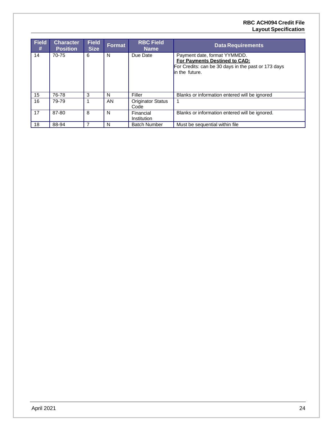#### **RBC ACH094 Credit File Layout Specification**

| <b>Field</b><br># | <b>Character</b><br><b>Position</b> | <b>Field</b><br><b>Size</b> | <b>Format</b> | <b>RBC Field</b><br><b>Name</b>  | <b>Data Requirements</b>                                                                                                               |
|-------------------|-------------------------------------|-----------------------------|---------------|----------------------------------|----------------------------------------------------------------------------------------------------------------------------------------|
| 14                | 70-75                               | 6                           | N             | Due Date                         | Payment date, format YYMMDD.<br>For Payments Destined to CAD:<br>For Credits: can be 30 days in the past or 173 days<br>in the future. |
| 15                | 76-78                               | 3                           | N             | Filler                           | Blanks or information entered will be ignored                                                                                          |
| 16                | 79-79                               |                             | AN.           | <b>Originator Status</b><br>Code |                                                                                                                                        |
| 17                | 87-80                               | 8                           | N             | Financial<br>Institution         | Blanks or information entered will be ignored.                                                                                         |
| 18                | 88-94                               |                             | N             | <b>Batch Number</b>              | Must be sequential within file                                                                                                         |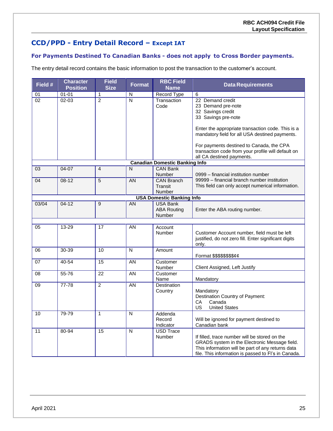### **CCD/PPD - Entry Detail Record – Except IAT**

#### **For Payments Destined To Canadian Banks - does not apply to Cross Border payments.**

The entry detail record contains the basic information to post the transaction to the customer's account.

| <b>Data Requirements</b>                                                                           |
|----------------------------------------------------------------------------------------------------|
|                                                                                                    |
| 22 Demand credit                                                                                   |
| 23 Demand pre-note                                                                                 |
| 32 Savings credit                                                                                  |
| 33 Savings pre-note                                                                                |
|                                                                                                    |
| Enter the appropriate transaction code. This is a                                                  |
| mandatory field for all USA destined payments.                                                     |
|                                                                                                    |
| For payments destined to Canada, the CPA                                                           |
| transaction code from your profile will default on                                                 |
| all CA destined payments.                                                                          |
|                                                                                                    |
|                                                                                                    |
| 0999 - financial institution number                                                                |
| 99999 - financial branch number institution                                                        |
| This field can only accept numerical information.                                                  |
|                                                                                                    |
|                                                                                                    |
|                                                                                                    |
| Enter the ABA routing number.                                                                      |
|                                                                                                    |
|                                                                                                    |
|                                                                                                    |
| Customer Account number, field must be left                                                        |
| justified, do not zero fill. Enter significant digits                                              |
|                                                                                                    |
|                                                                                                    |
| Format \$\$\$\$\$\$\$\$¢¢                                                                          |
|                                                                                                    |
| Client Assigned, Left Justify                                                                      |
|                                                                                                    |
| Mandatory                                                                                          |
| Mandatory                                                                                          |
| Destination Country of Payment:                                                                    |
| Canada                                                                                             |
| <b>United States</b>                                                                               |
|                                                                                                    |
| Will be ignored for payment destined to                                                            |
| Canadian bank                                                                                      |
|                                                                                                    |
|                                                                                                    |
|                                                                                                    |
| If filled, trace number will be stored on the                                                      |
| GRADS system in the Electronic Message field.<br>This information will be part of any returns data |
|                                                                                                    |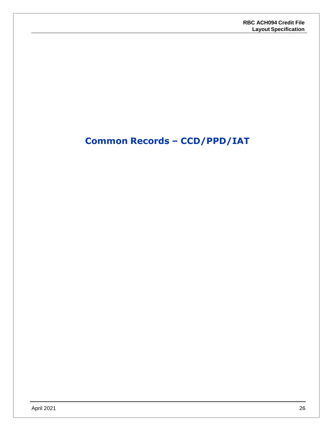## <span id="page-25-0"></span>**Common Records – CCD/PPD/IAT**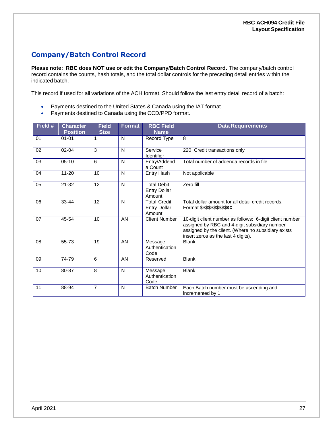### <span id="page-26-0"></span>**Company/Batch Control Record**

**Please note: RBC does NOT use or edit the Company/Batch Control Record.** The company/batch control record contains the counts, hash totals, and the total dollar controls for the preceding detail entries within the indicated batch.

This record if used for all variations of the ACH format. Should follow the last entry detail record of a batch:

- Payments destined to the United States & Canada using the IAT format.
- Payments destined to Canada using the CCD/PPD format.

| Field # | <b>Character</b><br><b>Position</b> | <b>Field</b><br><b>Size</b> | <b>Format</b> | <b>RBC Field</b><br><b>Name</b>                      | <b>Data Requirements</b>                                                                                                                                                                                |
|---------|-------------------------------------|-----------------------------|---------------|------------------------------------------------------|---------------------------------------------------------------------------------------------------------------------------------------------------------------------------------------------------------|
| 01      | $01 - 01$                           | 1                           | N             | Record Type                                          | 8                                                                                                                                                                                                       |
| 02      | $02 - 04$                           | 3                           | N             | Service<br><b>Identifier</b>                         | 220 Credit transactions only                                                                                                                                                                            |
| 03      | $05-10$                             | 6                           | N             | Entry/Addend<br>a Count                              | Total number of addenda records in file                                                                                                                                                                 |
| 04      | $11 - 20$                           | 10                          | N             | <b>Entry Hash</b>                                    | Not applicable                                                                                                                                                                                          |
| 05      | $21 - 32$                           | 12                          | N             | <b>Total Debit</b><br><b>Entry Dollar</b><br>Amount  | Zero fill                                                                                                                                                                                               |
| 06      | 33-44                               | 12                          | N             | <b>Total Credit</b><br><b>Entry Dollar</b><br>Amount | Total dollar amount for all detail credit records.<br>Format \$\$\$\$\$\$\$\$\$\$cc                                                                                                                     |
| 07      | 45-54                               | 10                          | AN            | <b>Client Number</b>                                 | 10-digit client number as follows: 6-digit client number<br>assigned by RBC and 4-digit subsidiary number<br>assigned by the client. (Where no subsidiary exists<br>insert zeros as the last 4 digits). |
| 08      | 55-73                               | 19                          | AN            | Message<br>Authentication<br>Code                    | <b>Blank</b>                                                                                                                                                                                            |
| 09      | 74-79                               | 6                           | AN            | Reserved                                             | <b>Blank</b>                                                                                                                                                                                            |
| 10      | 80-87                               | 8                           | N             | Message<br>Authentication<br>Code                    | <b>Blank</b>                                                                                                                                                                                            |
| 11      | 88-94                               | $\overline{7}$              | N             | <b>Batch Number</b>                                  | Each Batch number must be ascending and<br>incremented by 1                                                                                                                                             |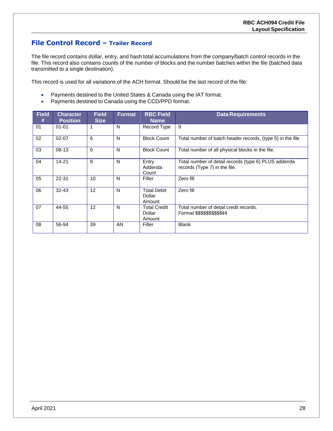#### **File Control Record – Trailer Record**

The file record contains dollar, entry, and hash total accumulations from the company/batch control records in the file. This record also contains counts of the number of blocks and the number batches within the file (batched data transmitted to a single destination).

This record is used for all variations of the ACH format. Should be the last record of the file:

- Payments destined to the United States & Canada using the IAT format.
- Payments destined to Canada using the CCD/PPD format.

| <b>Field</b><br># | <b>Character</b><br><b>Position</b> | <b>Field</b><br><b>Size</b> | <b>Format</b> | <b>RBC Field</b><br><b>Name</b>                                                  | <b>Data Requirements</b>                                                              |
|-------------------|-------------------------------------|-----------------------------|---------------|----------------------------------------------------------------------------------|---------------------------------------------------------------------------------------|
| 01                | $01 - 01$                           | 1                           | N             | Record Type                                                                      | 9                                                                                     |
| 02                | $02 - 07$                           | 6                           | N             | <b>Block Count</b><br>Total number of batch header records, (type 5) in the file |                                                                                       |
| 03                | $08-13$                             | 6                           | N             | <b>Block Count</b>                                                               | Total number of all physical blocks in the file.                                      |
| 04                | $14 - 21$                           | 8                           | N             | Entry<br>Addenda<br>Count                                                        | Total number of detail records (type 6) PLUS addenda<br>records (Type 7) in the file. |
| 05                | 22-31                               | 10                          | N             | Filler                                                                           | Zero fill                                                                             |
| 06                | $32 - 43$                           | 12                          | N             | Zero fill<br><b>Total Debit</b><br>Dollar<br>Amount                              |                                                                                       |
| 07                | 44-55                               | 12                          | N             | <b>Total Credit</b><br>Dollar<br>Amount                                          | Total number of detail credit records.<br>Format \$\$\$\$\$\$\$\$\$\$ <i>¢¢</i>       |
| 08                | 56-94                               | 39                          | AN            | Filler                                                                           | <b>Blank</b>                                                                          |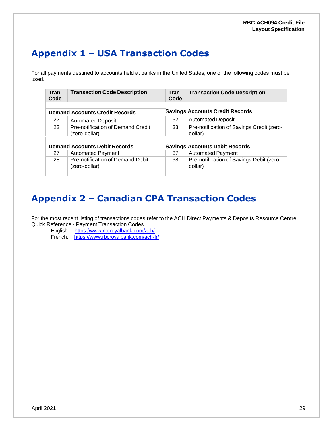## <span id="page-28-0"></span>**Appendix 1 – USA Transaction Codes**

For all payments destined to accounts held at banks in the United States, one of the following codes must be used.

| <b>Tran</b><br>Code | <b>Transaction Code Description</b>   | Tran<br>Code | <b>Transaction Code Description</b>       |
|---------------------|---------------------------------------|--------------|-------------------------------------------|
|                     | <b>Demand Accounts Credit Records</b> |              | <b>Savings Accounts Credit Records</b>    |
|                     |                                       |              |                                           |
| 22                  | <b>Automated Deposit</b>              | 32           | <b>Automated Deposit</b>                  |
| 23                  | Pre-notification of Demand Credit     | 33           | Pre-notification of Savings Credit (zero- |
|                     | (zero-dollar)                         |              | dollar)                                   |
|                     |                                       |              |                                           |
|                     | <b>Demand Accounts Debit Records</b>  |              | <b>Savings Accounts Debit Records</b>     |
| 27                  | <b>Automated Payment</b>              | 37           | <b>Automated Payment</b>                  |
| 28                  | Pre-notification of Demand Debit      | 38           | Pre-notification of Savings Debit (zero-  |
|                     | (zero-dollar)                         |              | dollar)                                   |
|                     |                                       |              |                                           |

## <span id="page-28-1"></span>**Appendix 2 – Canadian CPA Transaction Codes**

For the most recent listing of transactions codes refer to the ACH Direct Payments & Deposits Resource Centre. Quick Reference - Payment Transaction Codes

English: <https://www.rbcroyalbank.com/ach/> French: https:/[/www.rbcroyalbank.com/ach-fr/](http://www.rbcroyalbank.com/ach-fr/)